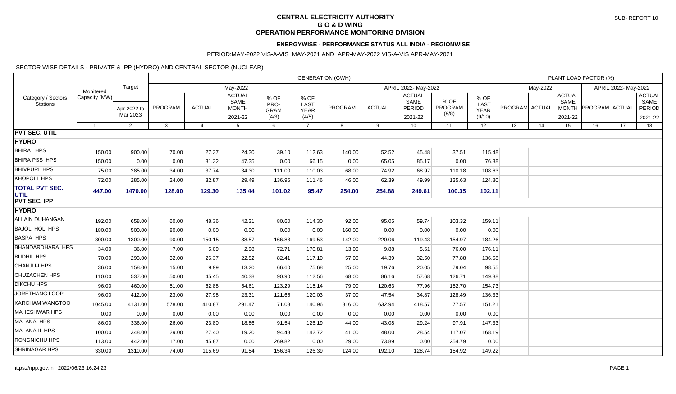## **CENTRAL ELECTRICITY AUTHORITY G O & D WING OPERATION PERFORMANCE MONITORING DIVISION**

## **ENERGYWISE - PERFORMANCE STATUS ALL INDIA - REGIONWISE**

### PERIOD:MAY-2022 VIS-A-VIS MAY-2021 AND APR-MAY-2022 VIS-A-VIS APR-MAY-2021

#### SECTOR WISE DETAILS - PRIVATE & IPP (HYDRO) AND CENTRAL SECTOR (NUCLEAR)

| Category / Sectors<br><b>Stations</b> | Monitered<br>Capacity (MW) | Target                  | <b>GENERATION (GWH)</b> |                |                                                  |                                      |                                      |         |               |                                                   |                          |                                       | PLANT LOAD FACTOR (%) |    |                                                  |                       |    |                                 |  |
|---------------------------------------|----------------------------|-------------------------|-------------------------|----------------|--------------------------------------------------|--------------------------------------|--------------------------------------|---------|---------------|---------------------------------------------------|--------------------------|---------------------------------------|-----------------------|----|--------------------------------------------------|-----------------------|----|---------------------------------|--|
|                                       |                            |                         | May-2022                |                |                                                  |                                      |                                      |         |               | May-2022                                          |                          |                                       | APRIL 2022- May-2022  |    |                                                  |                       |    |                                 |  |
|                                       |                            | Apr 2022 to<br>Mar 2023 | PROGRAM                 | <b>ACTUAL</b>  | <b>ACTUAL</b><br>SAME<br><b>MONTH</b><br>2021-22 | % OF<br>PRO-<br><b>GRAM</b><br>(4/3) | % OF<br>LAST<br><b>YEAR</b><br>(4/5) | PROGRAM | <b>ACTUAL</b> | <b>ACTUAL</b><br>SAME<br><b>PERIOD</b><br>2021-22 | % OF<br>PROGRAM<br>(9/8) | % OF<br>LAST<br><b>YEAR</b><br>(9/10) | <b>PROGRAM ACTUAL</b> |    | <b>ACTUAL</b><br>SAME<br><b>MONTH</b><br>2021-22 | <b>PROGRAM ACTUAL</b> |    | <b>ACTUAL</b><br>SAME<br>PERIOD |  |
|                                       |                            |                         |                         |                |                                                  |                                      |                                      |         |               |                                                   |                          |                                       |                       |    |                                                  |                       |    | 2021-22                         |  |
|                                       | $\overline{1}$             | 2                       | 3                       | $\overline{4}$ | 5                                                | 6                                    | $\overline{7}$                       | 8       | 9             | 10 <sup>1</sup>                                   | 11                       | 12                                    | 13                    | 14 | 15                                               | 16                    | 17 | 18                              |  |
| <b>PVT SEC. UTIL</b>                  |                            |                         |                         |                |                                                  |                                      |                                      |         |               |                                                   |                          |                                       |                       |    |                                                  |                       |    |                                 |  |
| <b>HYDRO</b>                          |                            |                         |                         |                |                                                  |                                      |                                      |         |               |                                                   |                          |                                       |                       |    |                                                  |                       |    |                                 |  |
| BHIRA HPS                             | 150.00                     | 900.00                  | 70.00                   | 27.37          | 24.30                                            | 39.10                                | 112.63                               | 140.00  | 52.52         | 45.48                                             | 37.51                    | 115.48                                |                       |    |                                                  |                       |    |                                 |  |
| <b>BHIRA PSS HPS</b>                  | 150.00                     | 0.00                    | 0.00                    | 31.32          | 47.35                                            | 0.00                                 | 66.15                                | 0.00    | 65.05         | 85.17                                             | 0.00                     | 76.38                                 |                       |    |                                                  |                       |    |                                 |  |
| <b>BHIVPURI HPS</b>                   | 75.00                      | 285.00                  | 34.00                   | 37.74          | 34.30                                            | 111.00                               | 110.03                               | 68.00   | 74.92         | 68.97                                             | 110.18                   | 108.63                                |                       |    |                                                  |                       |    |                                 |  |
| KHOPOLI HPS                           | 72.00                      | 285.00                  | 24.00                   | 32.87          | 29.49                                            | 136.96                               | 111.46                               | 46.00   | 62.39         | 49.99                                             | 135.63                   | 124.80                                |                       |    |                                                  |                       |    |                                 |  |
| <b>TOTAL PVT SEC.</b><br><b>UTIL</b>  | 447.00                     | 1470.00                 | 128.00                  | 129.30         | 135.44                                           | 101.02                               | 95.47                                | 254.00  | 254.88        | 249.61                                            | 100.35                   | 102.11                                |                       |    |                                                  |                       |    |                                 |  |
| <b>PVT SEC. IPP</b>                   |                            |                         |                         |                |                                                  |                                      |                                      |         |               |                                                   |                          |                                       |                       |    |                                                  |                       |    |                                 |  |
| <b>HYDRO</b>                          |                            |                         |                         |                |                                                  |                                      |                                      |         |               |                                                   |                          |                                       |                       |    |                                                  |                       |    |                                 |  |
| ALLAIN DUHANGAN                       | 192.00                     | 658.00                  | 60.00                   | 48.36          | 42.31                                            | 80.60                                | 114.30                               | 92.00   | 95.05         | 59.74                                             | 103.32                   | 159.11                                |                       |    |                                                  |                       |    |                                 |  |
| <b>BAJOLI HOLI HPS</b>                | 180.00                     | 500.00                  | 80.00                   | 0.00           | 0.00                                             | 0.00                                 | 0.00                                 | 160.00  | 0.00          | 0.00                                              | 0.00                     | 0.00                                  |                       |    |                                                  |                       |    |                                 |  |
| <b>BASPA HPS</b>                      | 300.00                     | 1300.00                 | 90.00                   | 150.15         | 88.57                                            | 166.83                               | 169.53                               | 142.00  | 220.06        | 119.43                                            | 154.97                   | 184.26                                |                       |    |                                                  |                       |    |                                 |  |
| <b>BHANDARDHARA HPS</b>               | 34.00                      | 36.00                   | 7.00                    | 5.09           | 2.98                                             | 72.71                                | 170.81                               | 13.00   | 9.88          | 5.61                                              | 76.00                    | 176.11                                |                       |    |                                                  |                       |    |                                 |  |
| <b>BUDHIL HPS</b>                     | 70.00                      | 293.00                  | 32.00                   | 26.37          | 22.52                                            | 82.41                                | 117.10                               | 57.00   | 44.39         | 32.50                                             | 77.88                    | 136.58                                |                       |    |                                                  |                       |    |                                 |  |
| <b>CHANJU-I HPS</b>                   | 36.00                      | 158.00                  | 15.00                   | 9.99           | 13.20                                            | 66.60                                | 75.68                                | 25.00   | 19.76         | 20.05                                             | 79.04                    | 98.55                                 |                       |    |                                                  |                       |    |                                 |  |
| <b>CHUZACHEN HPS</b>                  | 110.00                     | 537.00                  | 50.00                   | 45.45          | 40.38                                            | 90.90                                | 112.56                               | 68.00   | 86.16         | 57.68                                             | 126.71                   | 149.38                                |                       |    |                                                  |                       |    |                                 |  |
| <b>DIKCHU HPS</b>                     | 96.00                      | 460.00                  | 51.00                   | 62.88          | 54.61                                            | 123.29                               | 115.14                               | 79.00   | 120.63        | 77.96                                             | 152.70                   | 154.73                                |                       |    |                                                  |                       |    |                                 |  |
| <b>JORETHANG LOOP</b>                 | 96.00                      | 412.00                  | 23.00                   | 27.98          | 23.31                                            | 121.65                               | 120.03                               | 37.00   | 47.54         | 34.87                                             | 128.49                   | 136.33                                |                       |    |                                                  |                       |    |                                 |  |
| <b>KARCHAM WANGTOO</b>                | 1045.00                    | 4131.00                 | 578.00                  | 410.87         | 291.47                                           | 71.08                                | 140.96                               | 816.00  | 632.94        | 418.57                                            | 77.57                    | 151.21                                |                       |    |                                                  |                       |    |                                 |  |
| <b>MAHESHWAR HPS</b>                  | 0.00                       | 0.00                    | 0.00                    | 0.00           | 0.00                                             | 0.00                                 | 0.00                                 | 0.00    | 0.00          | 0.00                                              | 0.00                     | 0.00                                  |                       |    |                                                  |                       |    |                                 |  |
| <b>MALANA HPS</b>                     | 86.00                      | 336.00                  | 26.00                   | 23.80          | 18.86                                            | 91.54                                | 126.19                               | 44.00   | 43.08         | 29.24                                             | 97.91                    | 147.33                                |                       |    |                                                  |                       |    |                                 |  |
| <b>MALANA-II HPS</b>                  | 100.00                     | 348.00                  | 29.00                   | 27.40          | 19.20                                            | 94.48                                | 142.72                               | 41.00   | 48.00         | 28.54                                             | 117.07                   | 168.19                                |                       |    |                                                  |                       |    |                                 |  |
| <b>RONGNICHU HPS</b>                  | 113.00                     | 442.00                  | 17.00                   | 45.87          | 0.00                                             | 269.82                               | 0.00                                 | 29.00   | 73.89         | 0.00                                              | 254.79                   | 0.00                                  |                       |    |                                                  |                       |    |                                 |  |
| <b>SHRINAGAR HPS</b>                  | 330.00                     | 1310.00                 | 74.00                   | 115.69         | 91.54                                            | 156.34                               | 126.39                               | 124.00  | 192.10        | 128.74                                            | 154.92                   | 149.22                                |                       |    |                                                  |                       |    |                                 |  |